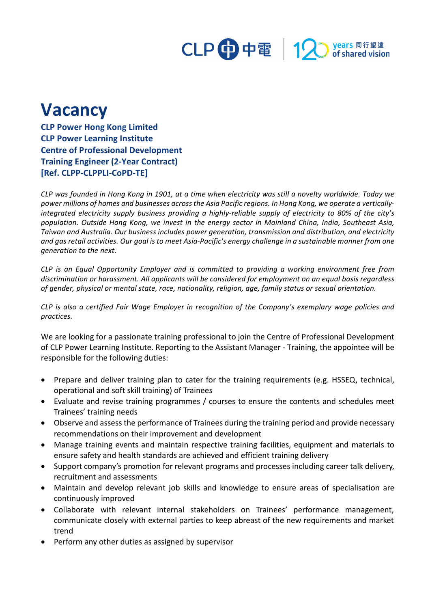

## **Vacancy**

**CLP Power Hong Kong Limited CLP Power Learning Institute Centre of Professional Development Training Engineer (2-Year Contract) [Ref. CLPP-CLPPLI-CoPD-TE]** 

*CLP was founded in Hong Kong in 1901, at a time when electricity was still a novelty worldwide. Today we power millions of homes and businesses across the Asia Pacific regions. In Hong Kong, we operate a verticallyintegrated electricity supply business providing a highly-reliable supply of electricity to 80% of the city's population. Outside Hong Kong, we invest in the energy sector in Mainland China, India, Southeast Asia, Taiwan and Australia. Our business includes power generation, transmission and distribution, and electricity and gas retail activities. Our goal is to meet Asia-Pacific's energy challenge in a sustainable manner from one generation to the next.*

*CLP is an Equal Opportunity Employer and is committed to providing a working environment free from discrimination or harassment. All applicants will be considered for employment on an equal basis regardless of gender, physical or mental state, race, nationality, religion, age, family status or sexual orientation.*

*CLP is also a certified Fair Wage Employer in recognition of the Company's exemplary wage policies and practices.*

We are looking for a passionate training professional to join the Centre of Professional Development of CLP Power Learning Institute. Reporting to the Assistant Manager - Training, the appointee will be responsible for the following duties:

- Prepare and deliver training plan to cater for the training requirements (e.g. HSSEQ, technical, operational and soft skill training) of Trainees
- Evaluate and revise training programmes / courses to ensure the contents and schedules meet Trainees' training needs
- Observe and assess the performance of Trainees during the training period and provide necessary recommendations on their improvement and development
- Manage training events and maintain respective training facilities, equipment and materials to ensure safety and health standards are achieved and efficient training delivery
- Support company's promotion for relevant programs and processes including career talk delivery, recruitment and assessments
- Maintain and develop relevant job skills and knowledge to ensure areas of specialisation are continuously improved
- Collaborate with relevant internal stakeholders on Trainees' performance management, communicate closely with external parties to keep abreast of the new requirements and market trend
- Perform any other duties as assigned by supervisor